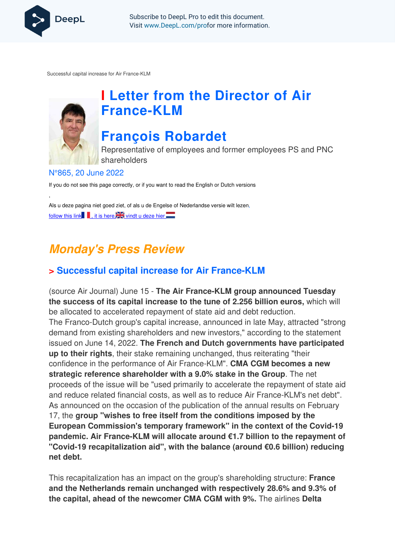

Subscribe to DeepL Pro to edit this document. Visit www.DeepL.com/profor more information.

Successful capital increase for Air France-KLM



,

# **I Letter from the Director of Air France-KLM**

# **François Robardet**

Representative of employees and former employees PS and PNC shareholders

#### N°865, 20 June 2022

If you do not see this page correctly, or if you want to read the English or Dutch versions

Als u deze pagina niet goed ziet, of als u de Engelse of Nederlandse versie wilt lezen, follow this link  $\blacksquare$ , it is here,  $\blacksquare$  vindt u deze hier

# **Monday's Press Review**

### **> Successful capital increase for Air France-KLM**

(source Air Journal) June 15 - **The Air France-KLM group announced Tuesday the success of its capital increase to the tune of 2.256 billion euros,** which will be allocated to accelerated repayment of state aid and debt reduction. The Franco-Dutch group's capital increase, announced in late May, attracted "strong demand from existing shareholders and new investors," according to the statement issued on June 14, 2022. **The French and Dutch governments have participated up to their rights**, their stake remaining unchanged, thus reiterating "their confidence in the performance of Air France-KLM". **CMA CGM becomes a new strategic reference shareholder with a 9.0% stake in the Group**. The net proceeds of the issue will be "used primarily to accelerate the repayment of state aid and reduce related financial costs, as well as to reduce Air France-KLM's net debt". As announced on the occasion of the publication of the annual results on February 17, the **group "wishes to free itself from the conditions imposed by the European Commission's temporary framework" in the context of the Covid-19 pandemic. Air France-KLM will allocate around €1.7 billion to the repayment of "Covid-19 recapitalization aid", with the balance (around €0.6 billion) reducing net debt.** 

This recapitalization has an impact on the group's shareholding structure: **France and the Netherlands remain unchanged with respectively 28.6% and 9.3% of the capital, ahead of the newcomer CMA CGM with 9%.** The airlines **Delta**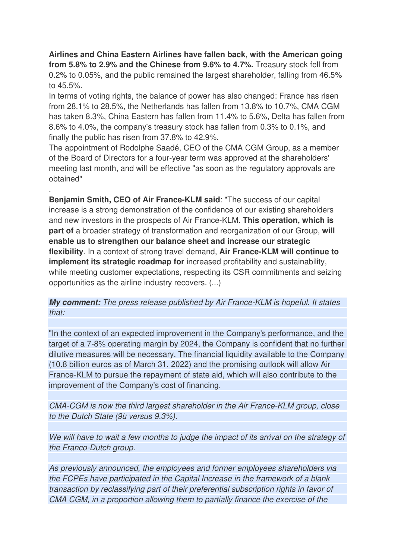**Airlines and China Eastern Airlines have fallen back, with the American going from 5.8% to 2.9% and the Chinese from 9.6% to 4.7%.** Treasury stock fell from 0.2% to 0.05%, and the public remained the largest shareholder, falling from 46.5% to 45.5%.

In terms of voting rights, the balance of power has also changed: France has risen from 28.1% to 28.5%, the Netherlands has fallen from 13.8% to 10.7%, CMA CGM has taken 8.3%, China Eastern has fallen from 11.4% to 5.6%, Delta has fallen from 8.6% to 4.0%, the company's treasury stock has fallen from 0.3% to 0.1%, and finally the public has risen from 37.8% to 42.9%.

The appointment of Rodolphe Saadé, CEO of the CMA CGM Group, as a member of the Board of Directors for a four-year term was approved at the shareholders' meeting last month, and will be effective "as soon as the regulatory approvals are obtained"

.

**Benjamin Smith, CEO of Air France-KLM said**: "The success of our capital increase is a strong demonstration of the confidence of our existing shareholders and new investors in the prospects of Air France-KLM. **This operation, which is part of** a broader strategy of transformation and reorganization of our Group, **will enable us to strengthen our balance sheet and increase our strategic flexibility**. In a context of strong travel demand, **Air France-KLM will continue to implement its strategic roadmap for** increased profitability and sustainability, while meeting customer expectations, respecting its CSR commitments and seizing opportunities as the airline industry recovers. (...)

**My comment:** The press release published by Air France-KLM is hopeful. It states that:

"In the context of an expected improvement in the Company's performance, and the target of a 7-8% operating margin by 2024, the Company is confident that no further dilutive measures will be necessary. The financial liquidity available to the Company (10.8 billion euros as of March 31, 2022) and the promising outlook will allow Air France-KLM to pursue the repayment of state aid, which will also contribute to the improvement of the Company's cost of financing.

CMA-CGM is now the third largest shareholder in the Air France-KLM group, close to the Dutch State (9ù versus 9.3%).

We will have to wait a few months to judge the impact of its arrival on the strategy of the Franco-Dutch group.

As previously announced, the employees and former employees shareholders via the FCPEs have participated in the Capital Increase in the framework of a blank transaction by reclassifying part of their preferential subscription rights in favor of CMA CGM, in a proportion allowing them to partially finance the exercise of the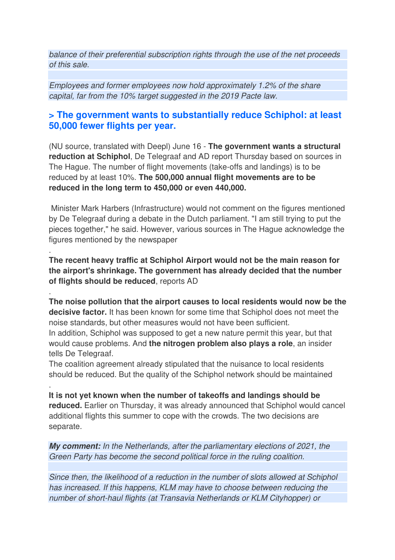balance of their preferential subscription rights through the use of the net proceeds of this sale.

Employees and former employees now hold approximately 1.2% of the share capital, far from the 10% target suggested in the 2019 Pacte law.

#### **> The government wants to substantially reduce Schiphol: at least 50,000 fewer flights per year.**

(NU source, translated with Deepl) June 16 - **The government wants a structural reduction at Schiphol**, De Telegraaf and AD report Thursday based on sources in The Hague. The number of flight movements (take-offs and landings) is to be reduced by at least 10%. **The 500,000 annual flight movements are to be reduced in the long term to 450,000 or even 440,000.** 

 Minister Mark Harbers (Infrastructure) would not comment on the figures mentioned by De Telegraaf during a debate in the Dutch parliament. "I am still trying to put the pieces together," he said. However, various sources in The Hague acknowledge the figures mentioned by the newspaper

**The recent heavy traffic at Schiphol Airport would not be the main reason for the airport's shrinkage. The government has already decided that the number of flights should be reduced**, reports AD

.

.

.

**The noise pollution that the airport causes to local residents would now be the decisive factor.** It has been known for some time that Schiphol does not meet the noise standards, but other measures would not have been sufficient. In addition, Schiphol was supposed to get a new nature permit this year, but that would cause problems. And **the nitrogen problem also plays a role**, an insider tells De Telegraaf.

The coalition agreement already stipulated that the nuisance to local residents should be reduced. But the quality of the Schiphol network should be maintained

**It is not yet known when the number of takeoffs and landings should be reduced.** Earlier on Thursday, it was already announced that Schiphol would cancel additional flights this summer to cope with the crowds. The two decisions are separate.

**My comment:** In the Netherlands, after the parliamentary elections of 2021, the Green Party has become the second political force in the ruling coalition.

Since then, the likelihood of a reduction in the number of slots allowed at Schiphol has increased. If this happens, KLM may have to choose between reducing the number of short-haul flights (at Transavia Netherlands or KLM Cityhopper) or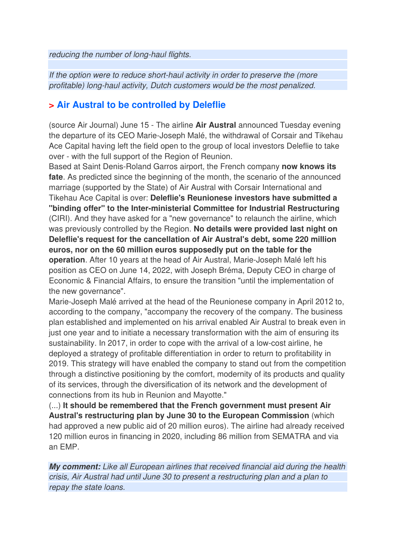reducing the number of long-haul flights.

If the option were to reduce short-haul activity in order to preserve the (more profitable) long-haul activity, Dutch customers would be the most penalized.

#### **> Air Austral to be controlled by Deleflie**

(source Air Journal) June 15 - The airline **Air Austral** announced Tuesday evening the departure of its CEO Marie-Joseph Malé, the withdrawal of Corsair and Tikehau Ace Capital having left the field open to the group of local investors Deleflie to take over - with the full support of the Region of Reunion.

Based at Saint Denis-Roland Garros airport, the French company **now knows its fate**. As predicted since the beginning of the month, the scenario of the announced marriage (supported by the State) of Air Austral with Corsair International and Tikehau Ace Capital is over: **Deleflie's Reunionese investors have submitted a "binding offer" to the Inter-ministerial Committee for Industrial Restructuring**  (CIRI). And they have asked for a "new governance" to relaunch the airline, which was previously controlled by the Region. **No details were provided last night on Deleflie's request for the cancellation of Air Austral's debt, some 220 million euros, nor on the 60 million euros supposedly put on the table for the operation**. After 10 years at the head of Air Austral, Marie-Joseph Malé left his position as CEO on June 14, 2022, with Joseph Bréma, Deputy CEO in charge of Economic & Financial Affairs, to ensure the transition "until the implementation of the new governance".

Marie-Joseph Malé arrived at the head of the Reunionese company in April 2012 to, according to the company, "accompany the recovery of the company. The business plan established and implemented on his arrival enabled Air Austral to break even in just one year and to initiate a necessary transformation with the aim of ensuring its sustainability. In 2017, in order to cope with the arrival of a low-cost airline, he deployed a strategy of profitable differentiation in order to return to profitability in 2019. This strategy will have enabled the company to stand out from the competition through a distinctive positioning by the comfort, modernity of its products and quality of its services, through the diversification of its network and the development of connections from its hub in Reunion and Mayotte."

(...) **It should be remembered that the French government must present Air Austral's restructuring plan by June 30 to the European Commission** (which had approved a new public aid of 20 million euros). The airline had already received 120 million euros in financing in 2020, including 86 million from SEMATRA and via an EMP.

**My comment:** Like all European airlines that received financial aid during the health crisis, Air Austral had until June 30 to present a restructuring plan and a plan to repay the state loans.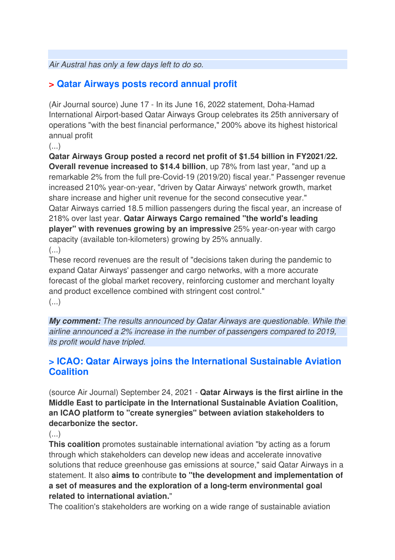Air Austral has only a few days left to do so.

### **> Qatar Airways posts record annual profit**

(Air Journal source) June 17 - In its June 16, 2022 statement, Doha-Hamad International Airport-based Qatar Airways Group celebrates its 25th anniversary of operations "with the best financial performance," 200% above its highest historical annual profit

 $\left(\ldots\right)$ 

**Qatar Airways Group posted a record net profit of \$1.54 billion in FY2021/22. Overall revenue increased to \$14.4 billion**, up 78% from last year, "and up a remarkable 2% from the full pre-Covid-19 (2019/20) fiscal year." Passenger revenue increased 210% year-on-year, "driven by Qatar Airways' network growth, market share increase and higher unit revenue for the second consecutive year." Qatar Airways carried 18.5 million passengers during the fiscal year, an increase of 218% over last year. **Qatar Airways Cargo remained "the world's leading player" with revenues growing by an impressive** 25% year-on-year with cargo capacity (available ton-kilometers) growing by 25% annually. (...)

These record revenues are the result of "decisions taken during the pandemic to expand Qatar Airways' passenger and cargo networks, with a more accurate forecast of the global market recovery, reinforcing customer and merchant loyalty and product excellence combined with stringent cost control."

(...)

**My comment:** The results announced by Qatar Airways are questionable. While the airline announced a 2% increase in the number of passengers compared to 2019, its profit would have tripled.

#### **> ICAO: Qatar Airways joins the International Sustainable Aviation Coalition**

(source Air Journal) September 24, 2021 - **Qatar Airways is the first airline in the Middle East to participate in the International Sustainable Aviation Coalition, an ICAO platform to "create synergies" between aviation stakeholders to decarbonize the sector.** 

 $\left(\ldots\right)$ 

**This coalition** promotes sustainable international aviation "by acting as a forum through which stakeholders can develop new ideas and accelerate innovative solutions that reduce greenhouse gas emissions at source," said Qatar Airways in a statement. It also **aims to** contribute **to "the development and implementation of a set of measures and the exploration of a long-term environmental goal related to international aviation.**"

The coalition's stakeholders are working on a wide range of sustainable aviation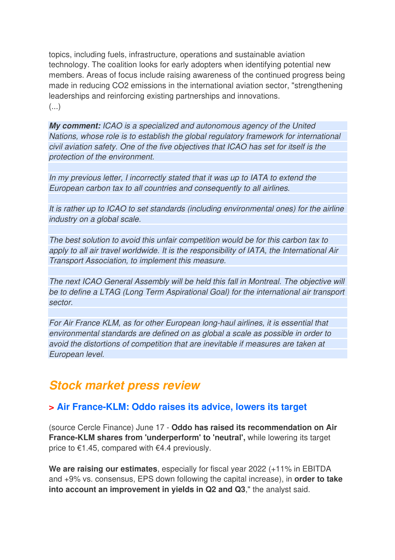topics, including fuels, infrastructure, operations and sustainable aviation technology. The coalition looks for early adopters when identifying potential new members. Areas of focus include raising awareness of the continued progress being made in reducing CO2 emissions in the international aviation sector, "strengthening leaderships and reinforcing existing partnerships and innovations.  $\left(\ldots\right)$ 

**My comment:** ICAO is a specialized and autonomous agency of the United Nations, whose role is to establish the global regulatory framework for international civil aviation safety. One of the five objectives that ICAO has set for itself is the protection of the environment.

In my previous letter, I incorrectly stated that it was up to IATA to extend the European carbon tax to all countries and consequently to all airlines.

It is rather up to ICAO to set standards (including environmental ones) for the airline industry on a global scale.

The best solution to avoid this unfair competition would be for this carbon tax to apply to all air travel worldwide. It is the responsibility of IATA, the International Air Transport Association, to implement this measure.

The next ICAO General Assembly will be held this fall in Montreal. The objective will be to define a LTAG (Long Term Aspirational Goal) for the international air transport sector.

For Air France KLM, as for other European long-haul airlines, it is essential that environmental standards are defined on as global a scale as possible in order to avoid the distortions of competition that are inevitable if measures are taken at European level.

### **Stock market press review**

#### **> Air France-KLM: Oddo raises its advice, lowers its target**

(source Cercle Finance) June 17 - **Oddo has raised its recommendation on Air France-KLM shares from 'underperform' to 'neutral',** while lowering its target price to €1.45, compared with €4.4 previously.

**We are raising our estimates**, especially for fiscal year 2022 (+11% in EBITDA and +9% vs. consensus, EPS down following the capital increase), in **order to take into account an improvement in yields in Q2 and Q3**," the analyst said.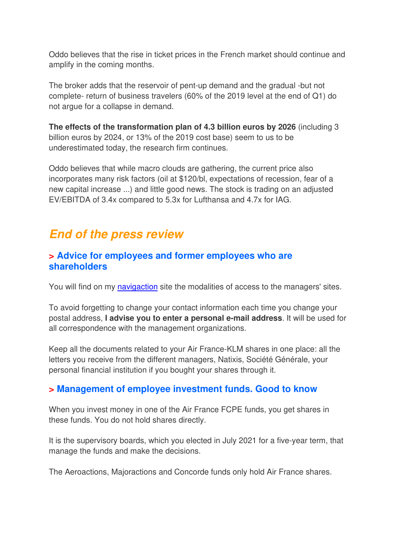Oddo believes that the rise in ticket prices in the French market should continue and amplify in the coming months.

The broker adds that the reservoir of pent-up demand and the gradual -but not complete- return of business travelers (60% of the 2019 level at the end of Q1) do not argue for a collapse in demand.

**The effects of the transformation plan of 4.3 billion euros by 2026** (including 3 billion euros by 2024, or 13% of the 2019 cost base) seem to us to be underestimated today, the research firm continues.

Oddo believes that while macro clouds are gathering, the current price also incorporates many risk factors (oil at \$120/bl, expectations of recession, fear of a new capital increase ...) and little good news. The stock is trading on an adjusted EV/EBITDA of 3.4x compared to 5.3x for Lufthansa and 4.7x for IAG.

### **End of the press review**

#### **> Advice for employees and former employees who are shareholders**

You will find on my navigaction site the modalities of access to the managers' sites.

To avoid forgetting to change your contact information each time you change your postal address, **I advise you to enter a personal e-mail address**. It will be used for all correspondence with the management organizations.

Keep all the documents related to your Air France-KLM shares in one place: all the letters you receive from the different managers, Natixis, Société Générale, your personal financial institution if you bought your shares through it.

#### **> Management of employee investment funds. Good to know**

When you invest money in one of the Air France FCPE funds, you get shares in these funds. You do not hold shares directly.

It is the supervisory boards, which you elected in July 2021 for a five-year term, that manage the funds and make the decisions.

The Aeroactions, Majoractions and Concorde funds only hold Air France shares.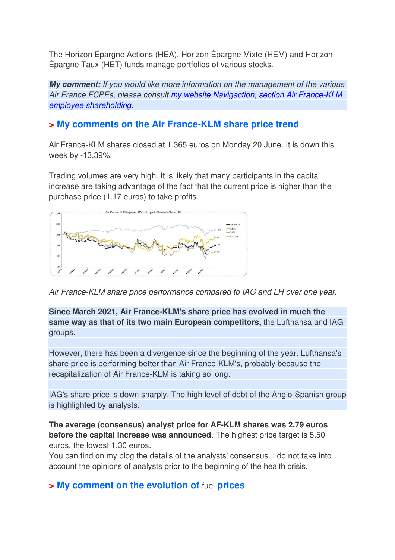The Horizon Épargne Actions (HEA), Horizon Épargne Mixte (HEM) and Horizon Épargne Taux (HET) funds manage portfolios of various stocks.

**My comment:** If you would like more information on the management of the various Air France FCPEs, please consult my website Navigaction, section Air France-KLM employee shareholding.

#### **> My comments on the Air France-KLM share price trend**

Air France-KLM shares closed at 1.365 euros on Monday 20 June. It is down this week by -13.39%.

Trading volumes are very high. It is likely that many participants in the capital increase are taking advantage of the fact that the current price is higher than the purchase price (1.17 euros) to take profits.



Air France-KLM share price performance compared to IAG and LH over one year.

**Since March 2021, Air France-KLM's share price has evolved in much the same way as that of its two main European competitors,** the Lufthansa and IAG groups.

However, there has been a divergence since the beginning of the year. Lufthansa's share price is performing better than Air France-KLM's, probably because the recapitalization of Air France-KLM is taking so long.

IAG's share price is down sharply. The high level of debt of the Anglo-Spanish group is highlighted by analysts.

**The average (consensus) analyst price for AF-KLM shares was 2.79 euros before the capital increase was announced**. The highest price target is 5.50 euros, the lowest 1.30 euros.

You can find on my blog the details of the analysts' consensus. I do not take into account the opinions of analysts prior to the beginning of the health crisis.

#### **> My comment on the evolution of** fuel **prices**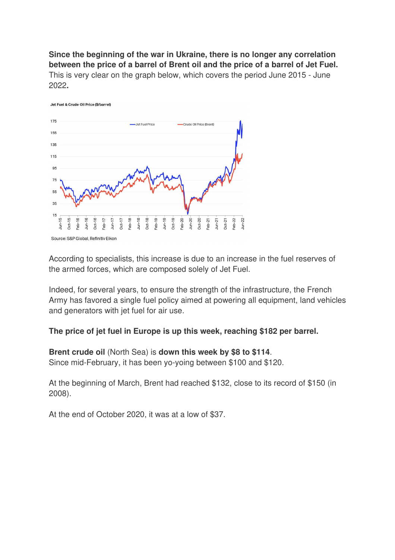**Since the beginning of the war in Ukraine, there is no longer any correlation between the price of a barrel of Brent oil and the price of a barrel of Jet Fuel.**  This is very clear on the graph below, which covers the period June 2015 - June 2022**.** 



According to specialists, this increase is due to an increase in the fuel reserves of the armed forces, which are composed solely of Jet Fuel.

Indeed, for several years, to ensure the strength of the infrastructure, the French Army has favored a single fuel policy aimed at powering all equipment, land vehicles and generators with jet fuel for air use.

**The price of jet fuel in Europe is up this week, reaching \$182 per barrel.** 

#### **Brent crude oil** (North Sea) is **down this week by \$8 to \$114**.

Since mid-February, it has been yo-yoing between \$100 and \$120.

At the beginning of March, Brent had reached \$132, close to its record of \$150 (in 2008).

At the end of October 2020, it was at a low of \$37.